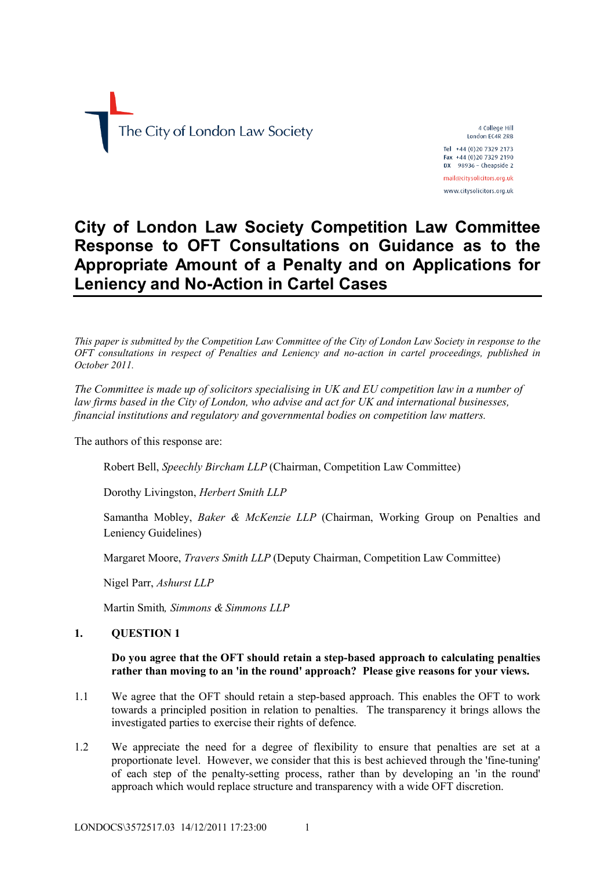

4 College Hill London EC4R 2RB Tel +44 (0)20 7329 2173 Fax +44 (0)20 7329 2190

 $DX$  98936 - Cheapside 2 mail@citysolicitors.org.uk

www.citysolicitors.org.uk

# **City of London Law Society Competition Law Committee Response to OFT Consultations on Guidance as to the Appropriate Amount of a Penalty and on Applications for Leniency and No-Action in Cartel Cases**

*This paper is submitted by the Competition Law Committee of the City of London Law Society in response to the OFT consultations in respect of Penalties and Leniency and no-action in cartel proceedings, published in October 2011.*

*The Committee is made up of solicitors specialising in UK and EU competition law in a number of law firms based in the City of London, who advise and act for UK and international businesses, financial institutions and regulatory and governmental bodies on competition law matters.*

The authors of this response are:

Robert Bell, *Speechly Bircham LLP* (Chairman, Competition Law Committee)

Dorothy Livingston, *Herbert Smith LLP*

Samantha Mobley, *Baker & McKenzie LLP* (Chairman, Working Group on Penalties and Leniency Guidelines)

Margaret Moore, *Travers Smith LLP* (Deputy Chairman, Competition Law Committee)

Nigel Parr, *Ashurst LLP*

Martin Smith*, Simmons & Simmons LLP*

# **1. QUESTION 1**

# **Do you agree that the OFT should retain a step-based approach to calculating penalties rather than moving to an 'in the round' approach? Please give reasons for your views.**

- 1.1 We agree that the OFT should retain a step-based approach. This enables the OFT to work towards a principled position in relation to penalties. The transparency it brings allows the investigated parties to exercise their rights of defence.
- 1.2 We appreciate the need for a degree of flexibility to ensure that penalties are set at a proportionate level. However, we consider that this is best achieved through the 'fine-tuning' of each step of the penalty-setting process, rather than by developing an 'in the round' approach which would replace structure and transparency with a wide OFT discretion.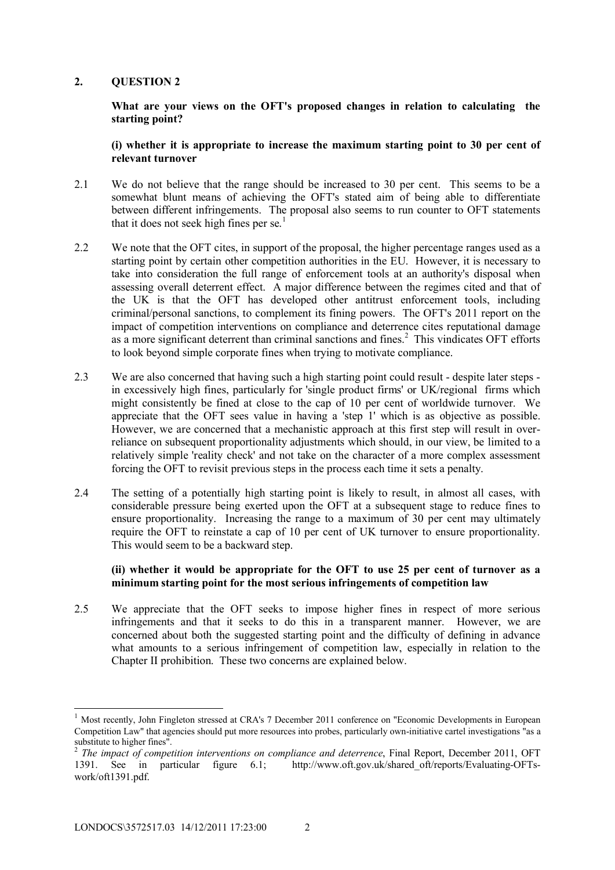**What are your views on the OFT's proposed changes in relation to calculating the starting point?** 

**(i) whether it is appropriate to increase the maximum starting point to 30 per cent of relevant turnover**

- 2.1 We do not believe that the range should be increased to 30 per cent. This seems to be a somewhat blunt means of achieving the OFT's stated aim of being able to differentiate between different infringements. The proposal also seems to run counter to OFT statements that it does not seek high fines per se.<sup>1</sup>
- 2.2 We note that the OFT cites, in support of the proposal, the higher percentage ranges used as a starting point by certain other competition authorities in the EU. However, it is necessary to take into consideration the full range of enforcement tools at an authority's disposal when assessing overall deterrent effect. A major difference between the regimes cited and that of the UK is that the OFT has developed other antitrust enforcement tools, including criminal/personal sanctions, to complement its fining powers. The OFT's 2011 report on the impact of competition interventions on compliance and deterrence cites reputational damage as a more significant deterrent than criminal sanctions and fines. 2 This vindicates OFT efforts to look beyond simple corporate fines when trying to motivate compliance.
- 2.3 We are also concerned that having such a high starting point could result despite later steps in excessively high fines, particularly for 'single product firms' or UK/regional firms which might consistently be fined at close to the cap of 10 per cent of worldwide turnover. We appreciate that the OFT sees value in having a 'step 1' which is as objective as possible. However, we are concerned that a mechanistic approach at this first step will result in overreliance on subsequent proportionality adjustments which should, in our view, be limited to a relatively simple 'reality check' and not take on the character of a more complex assessment forcing the OFT to revisit previous steps in the process each time it sets a penalty.
- 2.4 The setting of a potentially high starting point is likely to result, in almost all cases, with considerable pressure being exerted upon the OFT at a subsequent stage to reduce fines to ensure proportionality. Increasing the range to a maximum of 30 per cent may ultimately require the OFT to reinstate a cap of 10 per cent of UK turnover to ensure proportionality. This would seem to be a backward step.

# **(ii) whether it would be appropriate for the OFT to use 25 per cent of turnover as a minimum starting point for the most serious infringements of competition law**

2.5 We appreciate that the OFT seeks to impose higher fines in respect of more serious infringements and that it seeks to do this in a transparent manner. However, we are concerned about both the suggested starting point and the difficulty of defining in advance what amounts to a serious infringement of competition law, especially in relation to the Chapter II prohibition. These two concerns are explained below.

1

<sup>1</sup> Most recently, John Fingleton stressed at CRA's 7 December 2011 conference on "Economic Developments in European Competition Law" that agencies should put more resources into probes, particularly own-initiative cartel investigations "as a substitute to higher fines".<br> $\frac{2}{3}$  The impact of comparation

*The impact of competition interventions on compliance and deterrence*, Final Report, December 2011, OFT 1391. See in particular figure 6.1; http://www.oft.gov.uk/shared\_oft/reports/Evaluating-OFTswork/oft1391.pdf.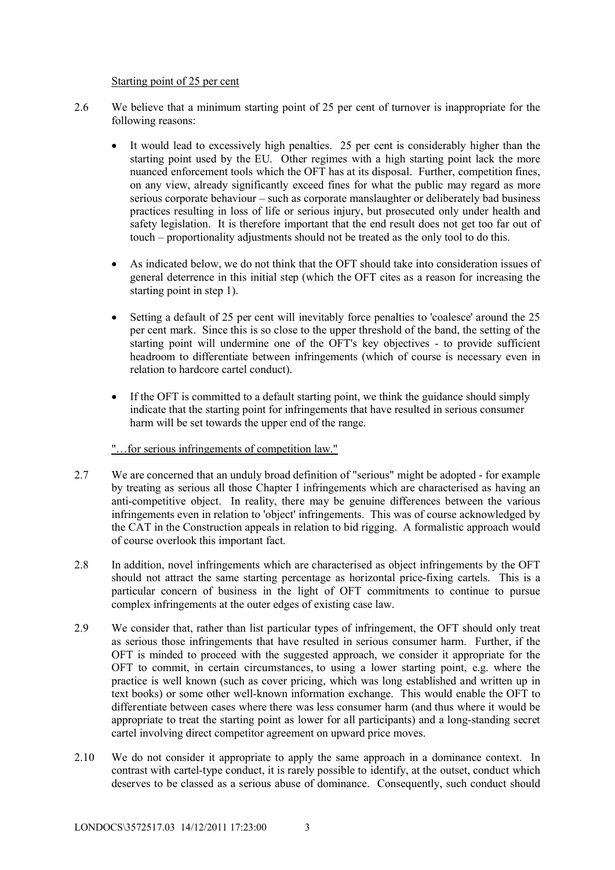Starting point of 25 per cent

- 2.6 We believe that a minimum starting point of 25 per cent of turnover is inappropriate for the following reasons:
	- It would lead to excessively high penalties. 25 per cent is considerably higher than the starting point used by the EU. Other regimes with a high starting point lack the more nuanced enforcement tools which the OFT has at its disposal. Further, competition fines, on any view, already significantly exceed fines for what the public may regard as more serious corporate behaviour – such as corporate manslaughter or deliberately bad business practices resulting in loss of life or serious injury, but prosecuted only under health and safety legislation. It is therefore important that the end result does not get too far out of touch – proportionality adjustments should not be treated as the only tool to do this.
	- As indicated below, we do not think that the OFT should take into consideration issues of general deterrence in this initial step (which the OFT cites as a reason for increasing the starting point in step 1).
	- Setting a default of 25 per cent will inevitably force penalties to 'coalesce' around the 25 per cent mark. Since this is so close to the upper threshold of the band, the setting of the starting point will undermine one of the OFT's key objectives - to provide sufficient headroom to differentiate between infringements (which of course is necessary even in relation to hardcore cartel conduct).
	- If the OFT is committed to a default starting point, we think the guidance should simply indicate that the starting point for infringements that have resulted in serious consumer harm will be set towards the upper end of the range.
	- "…for serious infringements of competition law."
- 2.7 We are concerned that an unduly broad definition of "serious" might be adopted for example by treating as serious all those Chapter I infringements which are characterised as having an anti-competitive object. In reality, there may be genuine differences between the various infringements even in relation to 'object' infringements. This was of course acknowledged by the CAT in the Construction appeals in relation to bid rigging. A formalistic approach would of course overlook this important fact.
- 2.8 In addition, novel infringements which are characterised as object infringements by the OFT should not attract the same starting percentage as horizontal price-fixing cartels. This is a particular concern of business in the light of OFT commitments to continue to pursue complex infringements at the outer edges of existing case law.
- 2.9 We consider that, rather than list particular types of infringement, the OFT should only treat as serious those infringements that have resulted in serious consumer harm. Further, if the OFT is minded to proceed with the suggested approach, we consider it appropriate for the OFT to commit, in certain circumstances, to using a lower starting point, e.g. where the practice is well known (such as cover pricing, which was long established and written up in text books) or some other well-known information exchange. This would enable the OFT to differentiate between cases where there was less consumer harm (and thus where it would be appropriate to treat the starting point as lower for all participants) and a long-standing secret cartel involving direct competitor agreement on upward price moves.
- 2.10 We do not consider it appropriate to apply the same approach in a dominance context. In contrast with cartel-type conduct, it is rarely possible to identify, at the outset, conduct which deserves to be classed as a serious abuse of dominance. Consequently, such conduct should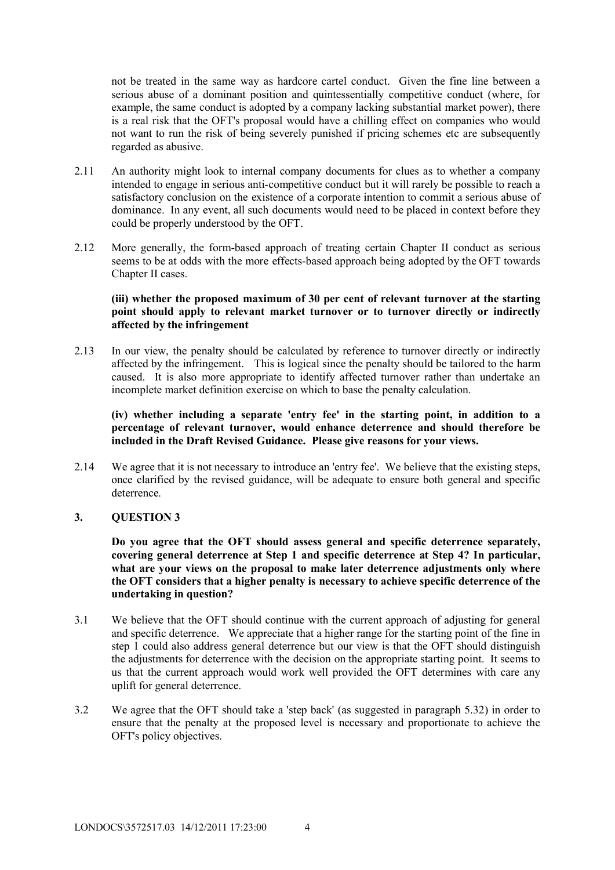not be treated in the same way as hardcore cartel conduct. Given the fine line between a serious abuse of a dominant position and quintessentially competitive conduct (where, for example, the same conduct is adopted by a company lacking substantial market power), there is a real risk that the OFT's proposal would have a chilling effect on companies who would not want to run the risk of being severely punished if pricing schemes etc are subsequently regarded as abusive.

- 2.11 An authority might look to internal company documents for clues as to whether a company intended to engage in serious anti-competitive conduct but it will rarely be possible to reach a satisfactory conclusion on the existence of a corporate intention to commit a serious abuse of dominance. In any event, all such documents would need to be placed in context before they could be properly understood by the OFT.
- 2.12 More generally, the form-based approach of treating certain Chapter II conduct as serious seems to be at odds with the more effects-based approach being adopted by the OFT towards Chapter II cases.

# **(iii) whether the proposed maximum of 30 per cent of relevant turnover at the starting point should apply to relevant market turnover or to turnover directly or indirectly affected by the infringement**

2.13 In our view, the penalty should be calculated by reference to turnover directly or indirectly affected by the infringement. This is logical since the penalty should be tailored to the harm caused. It is also more appropriate to identify affected turnover rather than undertake an incomplete market definition exercise on which to base the penalty calculation.

**(iv) whether including a separate 'entry fee' in the starting point, in addition to a percentage of relevant turnover, would enhance deterrence and should therefore be included in the Draft Revised Guidance. Please give reasons for your views.**

2.14 We agree that it is not necessary to introduce an 'entry fee'. We believe that the existing steps, once clarified by the revised guidance, will be adequate to ensure both general and specific deterrence.

#### **3. QUESTION 3**

**Do you agree that the OFT should assess general and specific deterrence separately, covering general deterrence at Step 1 and specific deterrence at Step 4? In particular, what are your views on the proposal to make later deterrence adjustments only where the OFT considers that a higher penalty is necessary to achieve specific deterrence of the undertaking in question?**

- 3.1 We believe that the OFT should continue with the current approach of adjusting for general and specific deterrence. We appreciate that a higher range for the starting point of the fine in step 1 could also address general deterrence but our view is that the OFT should distinguish the adjustments for deterrence with the decision on the appropriate starting point. It seems to us that the current approach would work well provided the OFT determines with care any uplift for general deterrence.
- 3.2 We agree that the OFT should take a 'step back' (as suggested in paragraph 5.32) in order to ensure that the penalty at the proposed level is necessary and proportionate to achieve the OFT's policy objectives.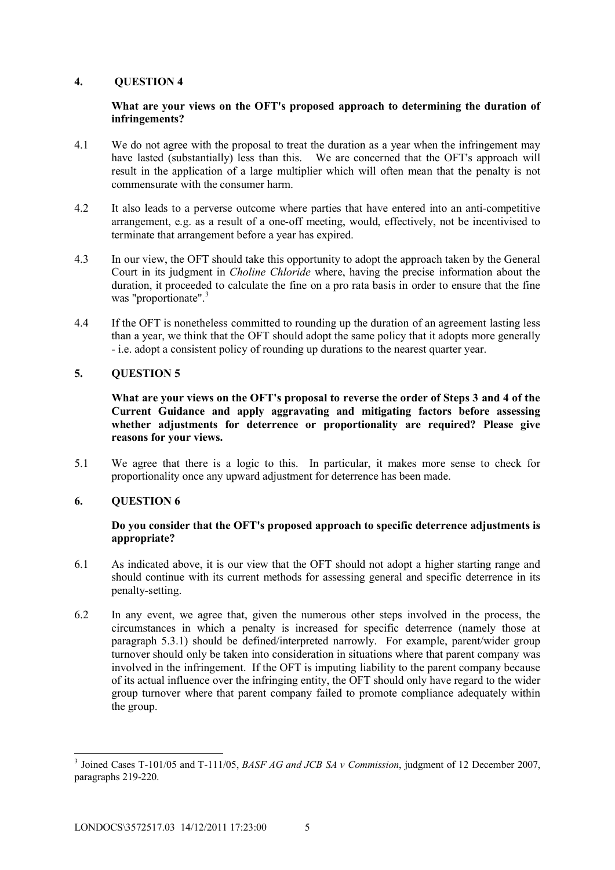# **What are your views on the OFT's proposed approach to determining the duration of infringements?**

- 4.1 We do not agree with the proposal to treat the duration as a year when the infringement may have lasted (substantially) less than this. We are concerned that the OFT's approach will result in the application of a large multiplier which will often mean that the penalty is not commensurate with the consumer harm.
- 4.2 It also leads to a perverse outcome where parties that have entered into an anti-competitive arrangement, e.g. as a result of a one-off meeting, would, effectively, not be incentivised to terminate that arrangement before a year has expired.
- 4.3 In our view, the OFT should take this opportunity to adopt the approach taken by the General Court in its judgment in *Choline Chloride* where, having the precise information about the duration, it proceeded to calculate the fine on a pro rata basis in order to ensure that the fine was "proportionate".<sup>3</sup>
- 4.4 If the OFT is nonetheless committed to rounding up the duration of an agreement lasting less than a year, we think that the OFT should adopt the same policy that it adopts more generally - i.e. adopt a consistent policy of rounding up durations to the nearest quarter year.

# **5. QUESTION 5**

**What are your views on the OFT's proposal to reverse the order of Steps 3 and 4 of the Current Guidance and apply aggravating and mitigating factors before assessing whether adjustments for deterrence or proportionality are required? Please give reasons for your views.**

5.1 We agree that there is a logic to this. In particular, it makes more sense to check for proportionality once any upward adjustment for deterrence has been made.

# **6. QUESTION 6**

# **Do you consider that the OFT's proposed approach to specific deterrence adjustments is appropriate?**

- 6.1 As indicated above, it is our view that the OFT should not adopt a higher starting range and should continue with its current methods for assessing general and specific deterrence in its penalty-setting.
- 6.2 In any event, we agree that, given the numerous other steps involved in the process, the circumstances in which a penalty is increased for specific deterrence (namely those at paragraph 5.3.1) should be defined/interpreted narrowly. For example, parent/wider group turnover should only be taken into consideration in situations where that parent company was involved in the infringement. If the OFT is imputing liability to the parent company because of its actual influence over the infringing entity, the OFT should only have regard to the wider group turnover where that parent company failed to promote compliance adequately within the group.

<sup>-</sup>3 Joined Cases T-101/05 and T-111/05, *BASF AG and JCB SA v Commission*, judgment of 12 December 2007, paragraphs 219-220.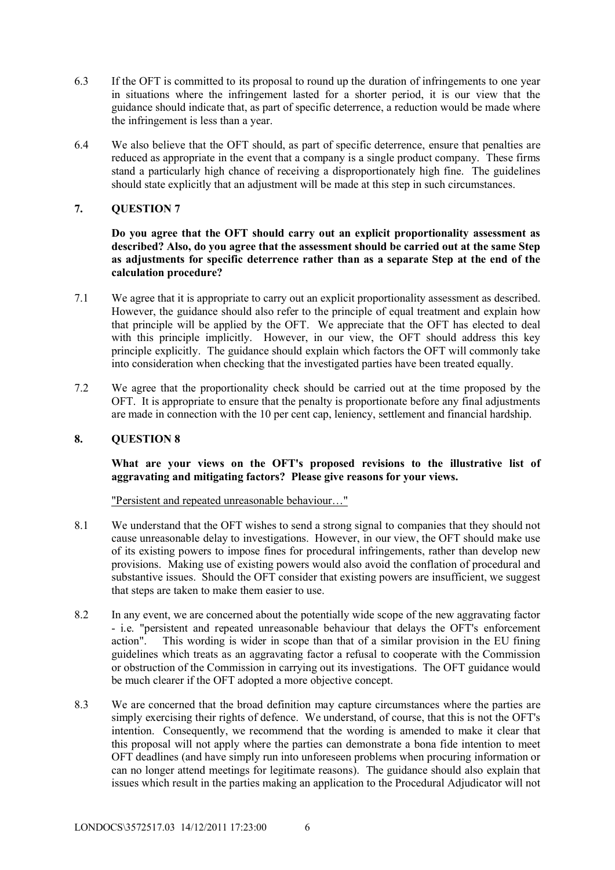- 6.3 If the OFT is committed to its proposal to round up the duration of infringements to one year in situations where the infringement lasted for a shorter period, it is our view that the guidance should indicate that, as part of specific deterrence, a reduction would be made where the infringement is less than a year.
- 6.4 We also believe that the OFT should, as part of specific deterrence, ensure that penalties are reduced as appropriate in the event that a company is a single product company. These firms stand a particularly high chance of receiving a disproportionately high fine. The guidelines should state explicitly that an adjustment will be made at this step in such circumstances.

**Do you agree that the OFT should carry out an explicit proportionality assessment as described? Also, do you agree that the assessment should be carried out at the same Step as adjustments for specific deterrence rather than as a separate Step at the end of the calculation procedure?**

- 7.1 We agree that it is appropriate to carry out an explicit proportionality assessment as described. However, the guidance should also refer to the principle of equal treatment and explain how that principle will be applied by the OFT. We appreciate that the OFT has elected to deal with this principle implicitly. However, in our view, the OFT should address this key principle explicitly. The guidance should explain which factors the OFT will commonly take into consideration when checking that the investigated parties have been treated equally.
- 7.2 We agree that the proportionality check should be carried out at the time proposed by the OFT. It is appropriate to ensure that the penalty is proportionate before any final adjustments are made in connection with the 10 per cent cap, leniency, settlement and financial hardship.

# **8. QUESTION 8**

# **What are your views on the OFT's proposed revisions to the illustrative list of aggravating and mitigating factors? Please give reasons for your views.**

#### "Persistent and repeated unreasonable behaviour…"

- 8.1 We understand that the OFT wishes to send a strong signal to companies that they should not cause unreasonable delay to investigations. However, in our view, the OFT should make use of its existing powers to impose fines for procedural infringements, rather than develop new provisions. Making use of existing powers would also avoid the conflation of procedural and substantive issues. Should the OFT consider that existing powers are insufficient, we suggest that steps are taken to make them easier to use.
- 8.2 In any event, we are concerned about the potentially wide scope of the new aggravating factor - i.e. "persistent and repeated unreasonable behaviour that delays the OFT's enforcement action". This wording is wider in scope than that of a similar provision in the EU fining guidelines which treats as an aggravating factor a refusal to cooperate with the Commission or obstruction of the Commission in carrying out its investigations. The OFT guidance would be much clearer if the OFT adopted a more objective concept.
- 8.3 We are concerned that the broad definition may capture circumstances where the parties are simply exercising their rights of defence. We understand, of course, that this is not the OFT's intention. Consequently, we recommend that the wording is amended to make it clear that this proposal will not apply where the parties can demonstrate a bona fide intention to meet OFT deadlines (and have simply run into unforeseen problems when procuring information or can no longer attend meetings for legitimate reasons). The guidance should also explain that issues which result in the parties making an application to the Procedural Adjudicator will not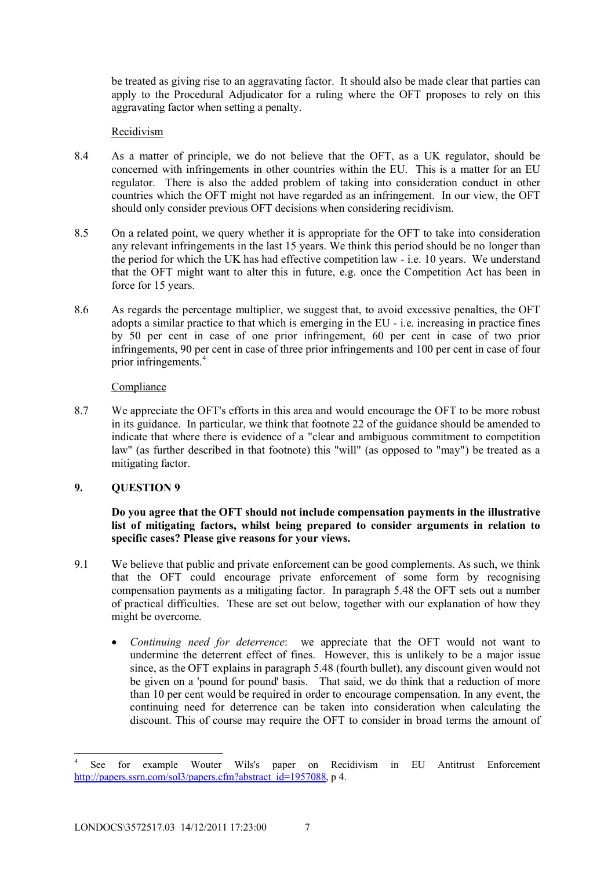be treated as giving rise to an aggravating factor. It should also be made clear that parties can apply to the Procedural Adjudicator for a ruling where the OFT proposes to rely on this aggravating factor when setting a penalty.

# Recidivism

- 8.4 As a matter of principle, we do not believe that the OFT, as a UK regulator, should be concerned with infringements in other countries within the EU. This is a matter for an EU regulator. There is also the added problem of taking into consideration conduct in other countries which the OFT might not have regarded as an infringement. In our view, the OFT should only consider previous OFT decisions when considering recidivism.
- 8.5 On a related point, we query whether it is appropriate for the OFT to take into consideration any relevant infringements in the last 15 years. We think this period should be no longer than the period for which the UK has had effective competition law - i.e. 10 years. We understand that the OFT might want to alter this in future, e.g. once the Competition Act has been in force for 15 years.
- 8.6 As regards the percentage multiplier, we suggest that, to avoid excessive penalties, the OFT adopts a similar practice to that which is emerging in the EU - i.e. increasing in practice fines by 50 per cent in case of one prior infringement, 60 per cent in case of two prior infringements, 90 per cent in case of three prior infringements and 100 per cent in case of four prior infringements.<sup>4</sup>

# Compliance

8.7 We appreciate the OFT's efforts in this area and would encourage the OFT to be more robust in its guidance. In particular, we think that footnote 22 of the guidance should be amended to indicate that where there is evidence of a "clear and ambiguous commitment to competition law" (as further described in that footnote) this "will" (as opposed to "may") be treated as a mitigating factor.

# **9. QUESTION 9**

# **Do you agree that the OFT should not include compensation payments in the illustrative list of mitigating factors, whilst being prepared to consider arguments in relation to specific cases? Please give reasons for your views.**

- 9.1 We believe that public and private enforcement can be good complements. As such, we think that the OFT could encourage private enforcement of some form by recognising compensation payments as a mitigating factor. In paragraph 5.48 the OFT sets out a number of practical difficulties. These are set out below, together with our explanation of how they might be overcome.
	- *Continuing need for deterrence*: we appreciate that the OFT would not want to undermine the deterrent effect of fines. However, this is unlikely to be a major issue since, as the OFT explains in paragraph 5.48 (fourth bullet), any discount given would not be given on a 'pound for pound' basis. That said, we do think that a reduction of more than 10 per cent would be required in order to encourage compensation. In any event, the continuing need for deterrence can be taken into consideration when calculating the discount. This of course may require the OFT to consider in broad terms the amount of

<sup>-</sup>4 See for example Wouter Wils's paper on Recidivism in EU Antitrust Enforcement http://papers.ssrn.com/sol3/papers.cfm?abstract\_id=1957088, p 4.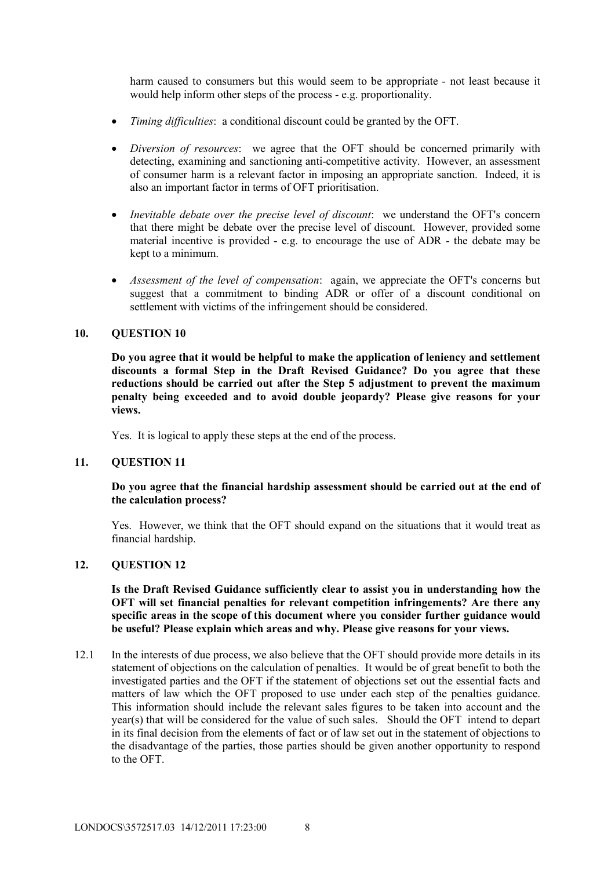harm caused to consumers but this would seem to be appropriate - not least because it would help inform other steps of the process - e.g. proportionality.

- *Timing difficulties*: a conditional discount could be granted by the OFT.
- *Diversion of resources*: we agree that the OFT should be concerned primarily with detecting, examining and sanctioning anti-competitive activity. However, an assessment of consumer harm is a relevant factor in imposing an appropriate sanction. Indeed, it is also an important factor in terms of OFT prioritisation.
- *Inevitable debate over the precise level of discount*: we understand the OFT's concern that there might be debate over the precise level of discount. However, provided some material incentive is provided - e.g. to encourage the use of ADR - the debate may be kept to a minimum.
- *Assessment of the level of compensation*: again, we appreciate the OFT's concerns but suggest that a commitment to binding ADR or offer of a discount conditional on settlement with victims of the infringement should be considered.

# **10. QUESTION 10**

**Do you agree that it would be helpful to make the application of leniency and settlement discounts a formal Step in the Draft Revised Guidance? Do you agree that these reductions should be carried out after the Step 5 adjustment to prevent the maximum penalty being exceeded and to avoid double jeopardy? Please give reasons for your views.**

Yes. It is logical to apply these steps at the end of the process.

#### **11. QUESTION 11**

#### **Do you agree that the financial hardship assessment should be carried out at the end of the calculation process?**

Yes. However, we think that the OFT should expand on the situations that it would treat as financial hardship.

#### **12. QUESTION 12**

**Is the Draft Revised Guidance sufficiently clear to assist you in understanding how the OFT will set financial penalties for relevant competition infringements? Are there any specific areas in the scope of this document where you consider further guidance would be useful? Please explain which areas and why. Please give reasons for your views.**

12.1 In the interests of due process, we also believe that the OFT should provide more details in its statement of objections on the calculation of penalties. It would be of great benefit to both the investigated parties and the OFT if the statement of objections set out the essential facts and matters of law which the OFT proposed to use under each step of the penalties guidance. This information should include the relevant sales figures to be taken into account and the year(s) that will be considered for the value of such sales. Should the OFT intend to depart in its final decision from the elements of fact or of law set out in the statement of objections to the disadvantage of the parties, those parties should be given another opportunity to respond to the OFT.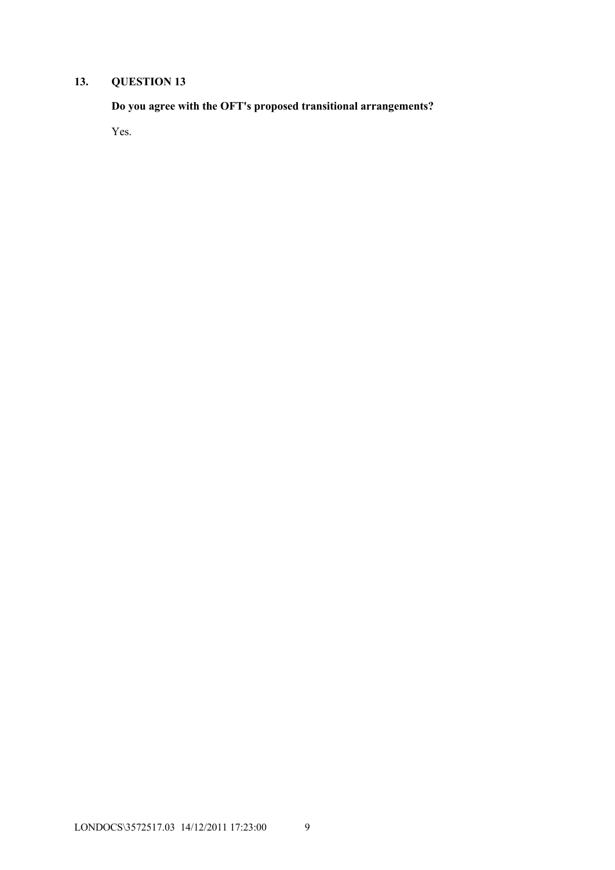**Do you agree with the OFT's proposed transitional arrangements?**

Yes.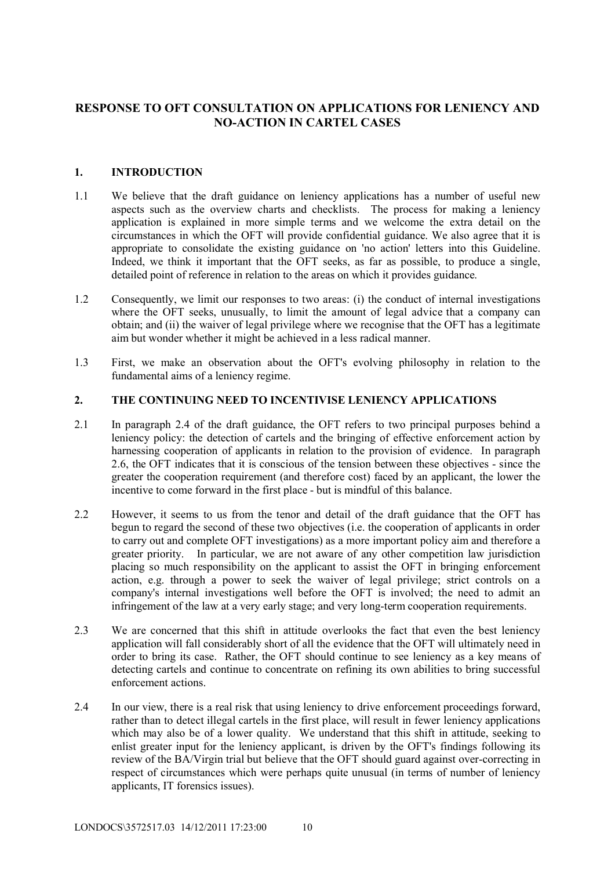# **RESPONSE TO OFT CONSULTATION ON APPLICATIONS FOR LENIENCY AND NO-ACTION IN CARTEL CASES**

# **1. INTRODUCTION**

- 1.1 We believe that the draft guidance on leniency applications has a number of useful new aspects such as the overview charts and checklists. The process for making a leniency application is explained in more simple terms and we welcome the extra detail on the circumstances in which the OFT will provide confidential guidance. We also agree that it is appropriate to consolidate the existing guidance on 'no action' letters into this Guideline. Indeed, we think it important that the OFT seeks, as far as possible, to produce a single, detailed point of reference in relation to the areas on which it provides guidance.
- 1.2 Consequently, we limit our responses to two areas: (i) the conduct of internal investigations where the OFT seeks, unusually, to limit the amount of legal advice that a company can obtain; and (ii) the waiver of legal privilege where we recognise that the OFT has a legitimate aim but wonder whether it might be achieved in a less radical manner.
- 1.3 First, we make an observation about the OFT's evolving philosophy in relation to the fundamental aims of a leniency regime.

#### **2. THE CONTINUING NEED TO INCENTIVISE LENIENCY APPLICATIONS**

- 2.1 In paragraph 2.4 of the draft guidance, the OFT refers to two principal purposes behind a leniency policy: the detection of cartels and the bringing of effective enforcement action by harnessing cooperation of applicants in relation to the provision of evidence. In paragraph 2.6, the OFT indicates that it is conscious of the tension between these objectives - since the greater the cooperation requirement (and therefore cost) faced by an applicant, the lower the incentive to come forward in the first place - but is mindful of this balance.
- 2.2 However, it seems to us from the tenor and detail of the draft guidance that the OFT has begun to regard the second of these two objectives (i.e. the cooperation of applicants in order to carry out and complete OFT investigations) as a more important policy aim and therefore a greater priority. In particular, we are not aware of any other competition law jurisdiction placing so much responsibility on the applicant to assist the OFT in bringing enforcement action, e.g. through a power to seek the waiver of legal privilege; strict controls on a company's internal investigations well before the OFT is involved; the need to admit an infringement of the law at a very early stage; and very long-term cooperation requirements.
- 2.3 We are concerned that this shift in attitude overlooks the fact that even the best leniency application will fall considerably short of all the evidence that the OFT will ultimately need in order to bring its case. Rather, the OFT should continue to see leniency as a key means of detecting cartels and continue to concentrate on refining its own abilities to bring successful enforcement actions.
- 2.4 In our view, there is a real risk that using leniency to drive enforcement proceedings forward, rather than to detect illegal cartels in the first place, will result in fewer leniency applications which may also be of a lower quality. We understand that this shift in attitude, seeking to enlist greater input for the leniency applicant, is driven by the OFT's findings following its review of the BA/Virgin trial but believe that the OFT should guard against over-correcting in respect of circumstances which were perhaps quite unusual (in terms of number of leniency applicants, IT forensics issues).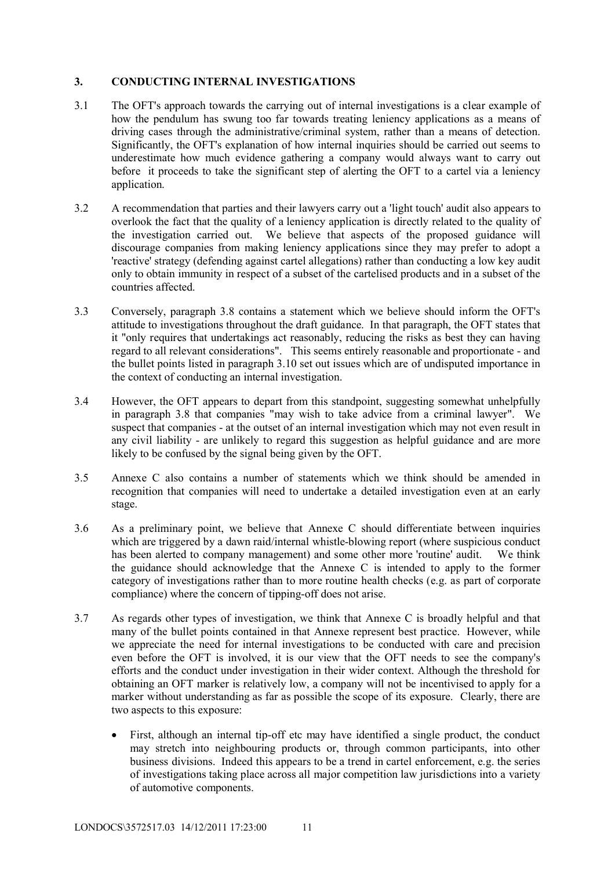# **3. CONDUCTING INTERNAL INVESTIGATIONS**

- 3.1 The OFT's approach towards the carrying out of internal investigations is a clear example of how the pendulum has swung too far towards treating leniency applications as a means of driving cases through the administrative/criminal system, rather than a means of detection. Significantly, the OFT's explanation of how internal inquiries should be carried out seems to underestimate how much evidence gathering a company would always want to carry out before it proceeds to take the significant step of alerting the OFT to a cartel via a leniency application.
- 3.2 A recommendation that parties and their lawyers carry out a 'light touch' audit also appears to overlook the fact that the quality of a leniency application is directly related to the quality of the investigation carried out. We believe that aspects of the proposed guidance will discourage companies from making leniency applications since they may prefer to adopt a 'reactive' strategy (defending against cartel allegations) rather than conducting a low key audit only to obtain immunity in respect of a subset of the cartelised products and in a subset of the countries affected.
- 3.3 Conversely, paragraph 3.8 contains a statement which we believe should inform the OFT's attitude to investigations throughout the draft guidance. In that paragraph, the OFT states that it "only requires that undertakings act reasonably, reducing the risks as best they can having regard to all relevant considerations". This seems entirely reasonable and proportionate - and the bullet points listed in paragraph 3.10 set out issues which are of undisputed importance in the context of conducting an internal investigation.
- 3.4 However, the OFT appears to depart from this standpoint, suggesting somewhat unhelpfully in paragraph 3.8 that companies "may wish to take advice from a criminal lawyer". We suspect that companies - at the outset of an internal investigation which may not even result in any civil liability - are unlikely to regard this suggestion as helpful guidance and are more likely to be confused by the signal being given by the OFT.
- 3.5 Annexe C also contains a number of statements which we think should be amended in recognition that companies will need to undertake a detailed investigation even at an early stage.
- 3.6 As a preliminary point, we believe that Annexe C should differentiate between inquiries which are triggered by a dawn raid/internal whistle-blowing report (where suspicious conduct has been alerted to company management) and some other more 'routine' audit. We think the guidance should acknowledge that the Annexe C is intended to apply to the former category of investigations rather than to more routine health checks (e.g. as part of corporate compliance) where the concern of tipping-off does not arise.
- 3.7 As regards other types of investigation, we think that Annexe C is broadly helpful and that many of the bullet points contained in that Annexe represent best practice. However, while we appreciate the need for internal investigations to be conducted with care and precision even before the OFT is involved, it is our view that the OFT needs to see the company's efforts and the conduct under investigation in their wider context. Although the threshold for obtaining an OFT marker is relatively low, a company will not be incentivised to apply for a marker without understanding as far as possible the scope of its exposure. Clearly, there are two aspects to this exposure:
	- First, although an internal tip-off etc may have identified a single product, the conduct may stretch into neighbouring products or, through common participants, into other business divisions. Indeed this appears to be a trend in cartel enforcement, e.g. the series of investigations taking place across all major competition law jurisdictions into a variety of automotive components.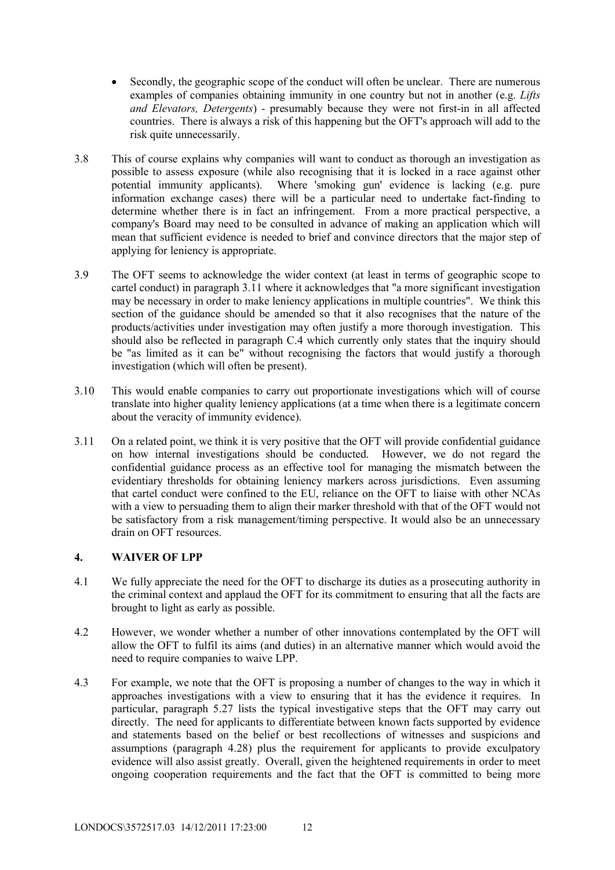- Secondly, the geographic scope of the conduct will often be unclear. There are numerous examples of companies obtaining immunity in one country but not in another (e.g. *Lifts and Elevators, Detergents*) - presumably because they were not first-in in all affected countries. There is always a risk of this happening but the OFT's approach will add to the risk quite unnecessarily.
- 3.8 This of course explains why companies will want to conduct as thorough an investigation as possible to assess exposure (while also recognising that it is locked in a race against other potential immunity applicants). Where 'smoking gun' evidence is lacking (e.g. pure information exchange cases) there will be a particular need to undertake fact-finding to determine whether there is in fact an infringement. From a more practical perspective, a company's Board may need to be consulted in advance of making an application which will mean that sufficient evidence is needed to brief and convince directors that the major step of applying for leniency is appropriate.
- 3.9 The OFT seems to acknowledge the wider context (at least in terms of geographic scope to cartel conduct) in paragraph 3.11 where it acknowledges that "a more significant investigation may be necessary in order to make leniency applications in multiple countries". We think this section of the guidance should be amended so that it also recognises that the nature of the products/activities under investigation may often justify a more thorough investigation. This should also be reflected in paragraph C.4 which currently only states that the inquiry should be "as limited as it can be" without recognising the factors that would justify a thorough investigation (which will often be present).
- 3.10 This would enable companies to carry out proportionate investigations which will of course translate into higher quality leniency applications (at a time when there is a legitimate concern about the veracity of immunity evidence).
- 3.11 On a related point, we think it is very positive that the OFT will provide confidential guidance on how internal investigations should be conducted. However, we do not regard the confidential guidance process as an effective tool for managing the mismatch between the evidentiary thresholds for obtaining leniency markers across jurisdictions. Even assuming that cartel conduct were confined to the EU, reliance on the OFT to liaise with other NCAs with a view to persuading them to align their marker threshold with that of the OFT would not be satisfactory from a risk management/timing perspective. It would also be an unnecessary drain on OFT resources.

#### **4. WAIVER OF LPP**

- 4.1 We fully appreciate the need for the OFT to discharge its duties as a prosecuting authority in the criminal context and applaud the OFT for its commitment to ensuring that all the facts are brought to light as early as possible.
- 4.2 However, we wonder whether a number of other innovations contemplated by the OFT will allow the OFT to fulfil its aims (and duties) in an alternative manner which would avoid the need to require companies to waive LPP.
- 4.3 For example, we note that the OFT is proposing a number of changes to the way in which it approaches investigations with a view to ensuring that it has the evidence it requires. In particular, paragraph 5.27 lists the typical investigative steps that the OFT may carry out directly. The need for applicants to differentiate between known facts supported by evidence and statements based on the belief or best recollections of witnesses and suspicions and assumptions (paragraph 4.28) plus the requirement for applicants to provide exculpatory evidence will also assist greatly. Overall, given the heightened requirements in order to meet ongoing cooperation requirements and the fact that the OFT is committed to being more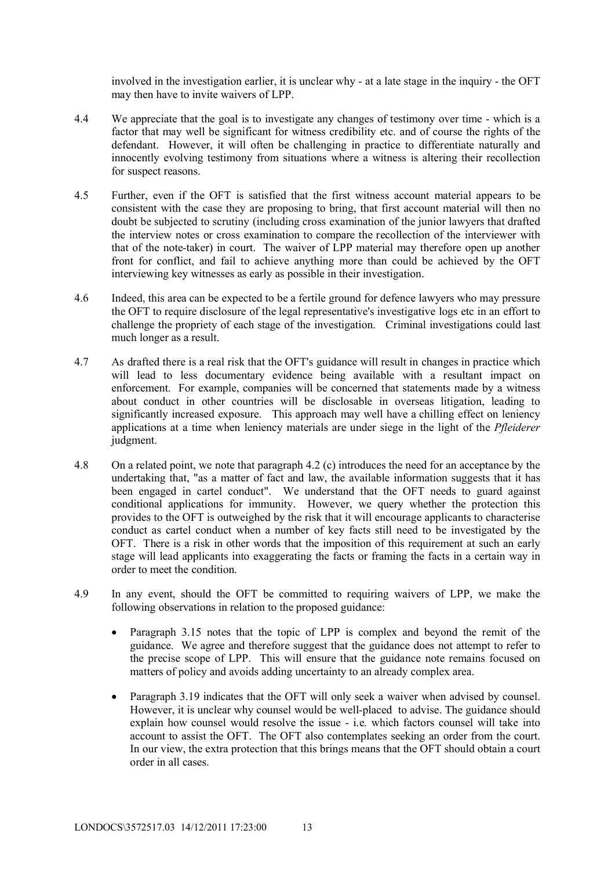involved in the investigation earlier, it is unclear why - at a late stage in the inquiry - the OFT may then have to invite waivers of LPP.

- 4.4 We appreciate that the goal is to investigate any changes of testimony over time which is a factor that may well be significant for witness credibility etc. and of course the rights of the defendant. However, it will often be challenging in practice to differentiate naturally and innocently evolving testimony from situations where a witness is altering their recollection for suspect reasons.
- 4.5 Further, even if the OFT is satisfied that the first witness account material appears to be consistent with the case they are proposing to bring, that first account material will then no doubt be subjected to scrutiny (including cross examination of the junior lawyers that drafted the interview notes or cross examination to compare the recollection of the interviewer with that of the note-taker) in court. The waiver of LPP material may therefore open up another front for conflict, and fail to achieve anything more than could be achieved by the OFT interviewing key witnesses as early as possible in their investigation.
- 4.6 Indeed, this area can be expected to be a fertile ground for defence lawyers who may pressure the OFT to require disclosure of the legal representative's investigative logs etc in an effort to challenge the propriety of each stage of the investigation. Criminal investigations could last much longer as a result.
- 4.7 As drafted there is a real risk that the OFT's guidance will result in changes in practice which will lead to less documentary evidence being available with a resultant impact on enforcement. For example, companies will be concerned that statements made by a witness about conduct in other countries will be disclosable in overseas litigation, leading to significantly increased exposure. This approach may well have a chilling effect on leniency applications at a time when leniency materials are under siege in the light of the *Pfleiderer* judgment.
- 4.8 On a related point, we note that paragraph 4.2 (c) introduces the need for an acceptance by the undertaking that, "as a matter of fact and law, the available information suggests that it has been engaged in cartel conduct". We understand that the OFT needs to guard against conditional applications for immunity. However, we query whether the protection this provides to the OFT is outweighed by the risk that it will encourage applicants to characterise conduct as cartel conduct when a number of key facts still need to be investigated by the OFT. There is a risk in other words that the imposition of this requirement at such an early stage will lead applicants into exaggerating the facts or framing the facts in a certain way in order to meet the condition.
- 4.9 In any event, should the OFT be committed to requiring waivers of LPP, we make the following observations in relation to the proposed guidance:
	- Paragraph 3.15 notes that the topic of LPP is complex and beyond the remit of the guidance. We agree and therefore suggest that the guidance does not attempt to refer to the precise scope of LPP. This will ensure that the guidance note remains focused on matters of policy and avoids adding uncertainty to an already complex area.
	- Paragraph 3.19 indicates that the OFT will only seek a waiver when advised by counsel. However, it is unclear why counsel would be well-placed to advise. The guidance should explain how counsel would resolve the issue - i.e. which factors counsel will take into account to assist the OFT. The OFT also contemplates seeking an order from the court. In our view, the extra protection that this brings means that the OFT should obtain a court order in all cases.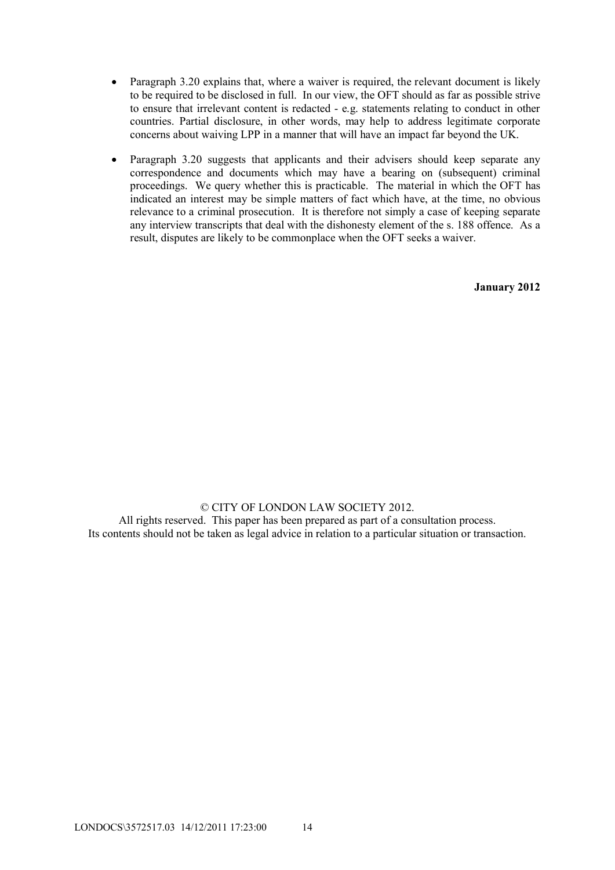- Paragraph 3.20 explains that, where a waiver is required, the relevant document is likely to be required to be disclosed in full. In our view, the OFT should as far as possible strive to ensure that irrelevant content is redacted - e.g. statements relating to conduct in other countries. Partial disclosure, in other words, may help to address legitimate corporate concerns about waiving LPP in a manner that will have an impact far beyond the UK.
- Paragraph 3.20 suggests that applicants and their advisers should keep separate any correspondence and documents which may have a bearing on (subsequent) criminal proceedings. We query whether this is practicable. The material in which the OFT has indicated an interest may be simple matters of fact which have, at the time, no obvious relevance to a criminal prosecution. It is therefore not simply a case of keeping separate any interview transcripts that deal with the dishonesty element of the s. 188 offence. As a result, disputes are likely to be commonplace when the OFT seeks a waiver.

**January 2012**

#### © CITY OF LONDON LAW SOCIETY 2012.

All rights reserved. This paper has been prepared as part of a consultation process. Its contents should not be taken as legal advice in relation to a particular situation or transaction.